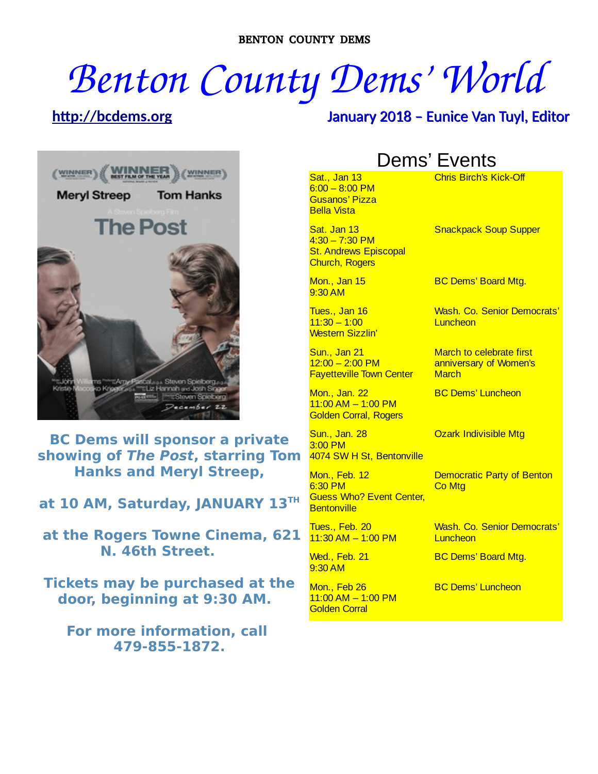# *Benton County Dems' World*

# **[http://bcdems.org](http://bcdems.org/)** January 2018 – Eunice Van Tuyl, Editor



**BC Dems will sponsor a private showing of The Post, starring Tom Hanks and Meryl Streep,**

**at 10 AM, Saturday, JANUARY 13TH**

**at the Rogers Towne Cinema, 621 N. 46th Street.**

**Tickets may be purchased at the door, beginning at 9:30 AM.** 

**For more information, call 479-855-1872.**

# Dems' Events

Sat., Jan 13 6:00 – 8:00 PM Gusanos' Pizza Bella Vista

Sat. Jan 13  $4:30 - 7:30$  PM **St. Andrews Episcopal** Church, Rogers

Mon., Jan 15 9:30 AM

Tues., Jan 16  $11:30 - 1:00$ Western Sizzlin'

Sun., Jan 21  $12:00 - 2:00 \text{ PM}$ Fayetteville Town Center

Mon., Jan. 22  $11:00$  AM  $-1:00$  PM Golden Corral, Rogers

Sun., Jan. 28 3:00 PM 4074 SW H St, Bentonville

Mon., Feb. 12 6:30 PM Guess Who? Event Center, **Bentonville** 

Tues., Feb. 20 11:30 AM – 1:00 PM

Wed., Feb. 21 9:30 AM

Mon., Feb 26 11:00 AM – 1:00 PM Golden Corral

Chris Birch's Kick-Off

Snackpack Soup Supper

BC Dems' Board Mtg.

Wash. Co. Senior Democrats' **Luncheon** 

March to celebrate first anniversary of Women's **March** 

BC Dems' Luncheon

Ozark Indivisible Mtg

Democratic Party of Benton **Co Mtg** 

Wash. Co. Senior Democrats' **Luncheon** 

BC Dems' Board Mtg.

BC Dems' Luncheon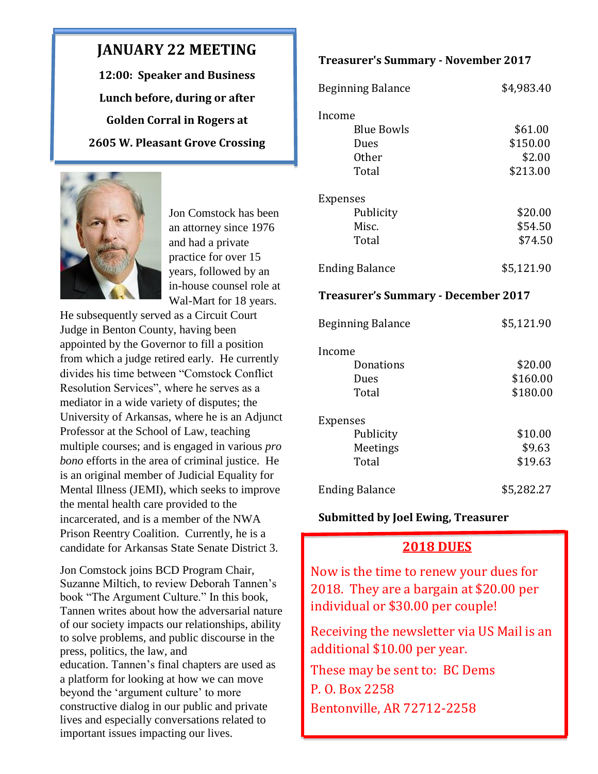## **JANUARY 22 MEETING**

**12:00: Speaker and Business Lunch before, during or after Golden Corral in Rogers at 2605 W. Pleasant Grove Crossing**



Jon Comstock has been an attorney since 1976 and had a private practice for over 15 years, followed by an in-house counsel role at Wal-Mart for 18 years.

He subsequently served as a Circuit Court Judge in Benton County, having been appointed by the Governor to fill a position from which a judge retired early. He currently divides his time between "Comstock Conflict Resolution Services", where he serves as a mediator in a wide variety of disputes; the University of Arkansas, where he is an Adjunct Professor at the School of Law, teaching multiple courses; and is engaged in various *pro bono* efforts in the area of criminal justice. He is an original member of Judicial Equality for Mental Illness (JEMI), which seeks to improve the mental health care provided to the incarcerated, and is a member of the NWA Prison Reentry Coalition. Currently, he is a candidate for Arkansas State Senate District 3.

Jon Comstock joins BCD Program Chair, Suzanne Miltich, to review Deborah Tannen's book "The Argument Culture." In this book, Tannen writes about how the adversarial nature of our society impacts our relationships, ability to solve problems, and public discourse in the press, politics, the law, and education. Tannen's final chapters are used as a platform for looking at how we can move beyond the 'argument culture' to more constructive dialog in our public and private lives and especially conversations related to important issues impacting our lives.

#### **Treasurer's Summary - November 2017**

| <b>Beginning Balance</b>                   | \$4,983.40 |
|--------------------------------------------|------------|
| Income                                     |            |
| <b>Blue Bowls</b>                          | \$61.00    |
| Dues                                       | \$150.00   |
| <b>Other</b>                               | \$2.00     |
| Total                                      | \$213.00   |
| <b>Expenses</b>                            |            |
| Publicity                                  | \$20.00    |
| Misc.                                      | \$54.50    |
| Total                                      | \$74.50    |
| <b>Ending Balance</b>                      | \$5,121.90 |
| <b>Treasurer's Summary - December 2017</b> |            |
| <b>Beginning Balance</b>                   | \$5,121.90 |
| Income                                     |            |
| Donations                                  | \$20.00    |
| Dues                                       | \$160.00   |
| Total                                      | \$180.00   |
| Expenses                                   |            |
| Publicity                                  | \$10.00    |
| Meetings                                   | \$9.63     |
| Total                                      | \$19.63    |
| <b>Ending Balance</b>                      | \$5,282.27 |

#### **Submitted by Joel Ewing, Treasurer**

#### **2018 DUES**

Now is the time to renew your dues for 2018. They are a bargain at \$20.00 per individual or \$30.00 per couple!

Receiving the newsletter via US Mail is an additional \$10.00 per year.

These may be sent to: BC Dems P. O. Box 2258 Bentonville, AR 72712-2258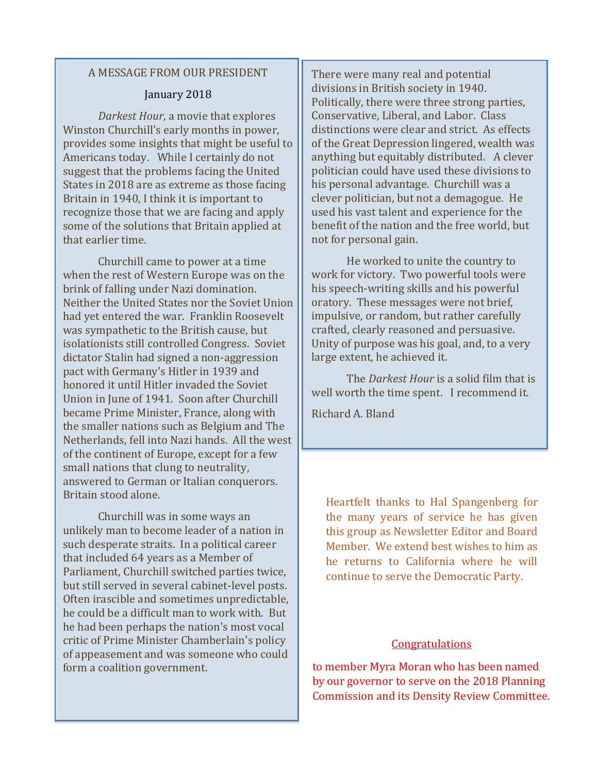#### A MESSAGE FROM OUR PRESIDENT

#### January 2018

*Darkest Hour*, a movie that explores Winston Churchill's early months in power, provides some insights that might be useful to Americans today. While I certainly do not suggest that the problems facing the United States in 2018 are as extreme as those facing Britain in 1940, I think it is important to recognize those that we are facing and apply some of the solutions that Britain applied at that earlier time.

Churchill came to power at a time when the rest of Western Europe was on the brink of falling under Nazi domination. Neither the United States nor the Soviet Union had yet entered the war. Franklin Roosevelt was sympathetic to the British cause, but isolationists still controlled Congress. Soviet dictator Stalin had signed a non-aggression pact with Germany's Hitler in 1939 and honored it until Hitler invaded the Soviet Union in June of 1941. Soon after Churchill became Prime Minister, France, along with the smaller nations such as Belgium and The Netherlands, fell into Nazi hands. All the west of the continent of Europe, except for a few small nations that clung to neutrality, answered to German or Italian conquerors. Britain stood alone.

Churchill was in some ways an unlikely man to become leader of a nation in such desperate straits. In a political career that included 64 years as a Member of Parliament, Churchill switched parties twice, but still served in several cabinet-level posts. Often irascible and sometimes unpredictable, he could be a difficult man to work with. But he had been perhaps the nation's most vocal critic of Prime Minister Chamberlain's policy of appeasement and was someone who could form a coalition government.

There were many real and potential divisions in British society in 1940. Politically, there were three strong parties, Conservative, Liberal, and Labor. Class distinctions were clear and strict. As effects of the Great Depression lingered, wealth was anything but equitably distributed. A clever politician could have used these divisions to his personal advantage. Churchill was a clever politician, but not a demagogue. He used his vast talent and experience for the benefit of the nation and the free world, but not for personal gain.

He worked to unite the country to work for victory. Two powerful tools were his speech-writing skills and his powerful oratory. These messages were not brief, impulsive, or random, but rather carefully crafted, clearly reasoned and persuasive. Unity of purpose was his goal, and, to a very large extent, he achieved it.

The *Darkest Hour* is a solid film that is well worth the time spent. I recommend it.

Richard A. Bland

Heartfelt thanks to Hal Spangenberg for the many years of service he has given this group as Newsletter Editor and Board Member. We extend best wishes to him as he returns to California where he will continue to serve the Democratic Party.

#### **Congratulations**

to member Myra Moran who has been named by our governor to serve on the 2018 Planning Commission and its Density Review Committee.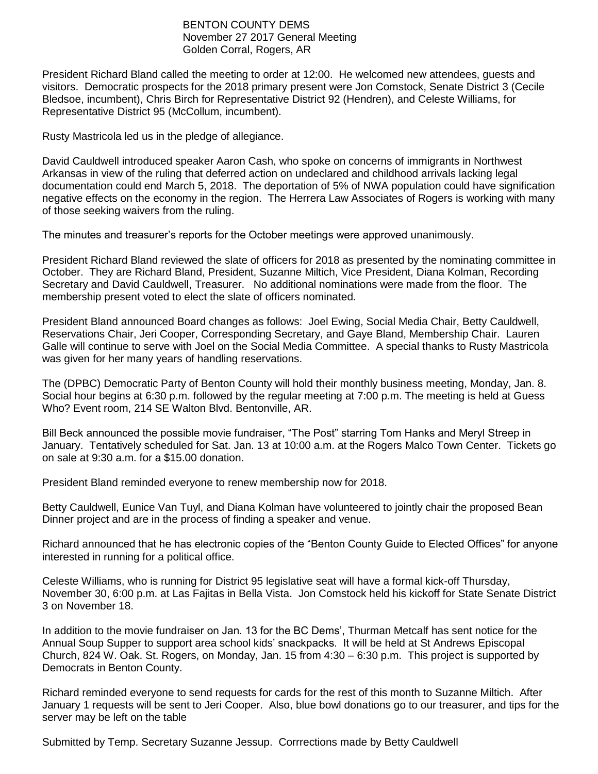#### BENTON COUNTY DEMS November 27 2017 General Meeting Golden Corral, Rogers, AR

President Richard Bland called the meeting to order at 12:00. He welcomed new attendees, guests and visitors. Democratic prospects for the 2018 primary present were Jon Comstock, Senate District 3 (Cecile Bledsoe, incumbent), Chris Birch for Representative District 92 (Hendren), and Celeste Williams, for Representative District 95 (McCollum, incumbent).

Rusty Mastricola led us in the pledge of allegiance.

David Cauldwell introduced speaker Aaron Cash, who spoke on concerns of immigrants in Northwest Arkansas in view of the ruling that deferred action on undeclared and childhood arrivals lacking legal documentation could end March 5, 2018. The deportation of 5% of NWA population could have signification negative effects on the economy in the region. The Herrera Law Associates of Rogers is working with many of those seeking waivers from the ruling.

The minutes and treasurer's reports for the October meetings were approved unanimously.

President Richard Bland reviewed the slate of officers for 2018 as presented by the nominating committee in October. They are Richard Bland, President, Suzanne Miltich, Vice President, Diana Kolman, Recording Secretary and David Cauldwell, Treasurer. No additional nominations were made from the floor. The membership present voted to elect the slate of officers nominated.

President Bland announced Board changes as follows: Joel Ewing, Social Media Chair, Betty Cauldwell, Reservations Chair, Jeri Cooper, Corresponding Secretary, and Gaye Bland, Membership Chair. Lauren Galle will continue to serve with Joel on the Social Media Committee. A special thanks to Rusty Mastricola was given for her many years of handling reservations.

The (DPBC) Democratic Party of Benton County will hold their monthly business meeting, Monday, Jan. 8. Social hour begins at 6:30 p.m. followed by the regular meeting at 7:00 p.m. The meeting is held at Guess Who? Event room, 214 SE Walton Blvd. Bentonville, AR.

Bill Beck announced the possible movie fundraiser, "The Post" starring Tom Hanks and Meryl Streep in January. Tentatively scheduled for Sat. Jan. 13 at 10:00 a.m. at the Rogers Malco Town Center. Tickets go on sale at 9:30 a.m. for a \$15.00 donation.

President Bland reminded everyone to renew membership now for 2018.

Betty Cauldwell, Eunice Van Tuyl, and Diana Kolman have volunteered to jointly chair the proposed Bean Dinner project and are in the process of finding a speaker and venue.

Richard announced that he has electronic copies of the "Benton County Guide to Elected Offices" for anyone interested in running for a political office.

Celeste Williams, who is running for District 95 legislative seat will have a formal kick-off Thursday, November 30, 6:00 p.m. at Las Fajitas in Bella Vista. Jon Comstock held his kickoff for State Senate District 3 on November 18.

In addition to the movie fundraiser on Jan. 13 for the BC Dems', Thurman Metcalf has sent notice for the Annual Soup Supper to support area school kids' snackpacks. It will be held at St Andrews Episcopal Church, 824 W. Oak. St. Rogers, on Monday, Jan. 15 from 4:30 – 6:30 p.m. This project is supported by Democrats in Benton County.

Richard reminded everyone to send requests for cards for the rest of this month to Suzanne Miltich. After January 1 requests will be sent to Jeri Cooper. Also, blue bowl donations go to our treasurer, and tips for the server may be left on the table

Submitted by Temp. Secretary Suzanne Jessup. Corrrections made by Betty Cauldwell